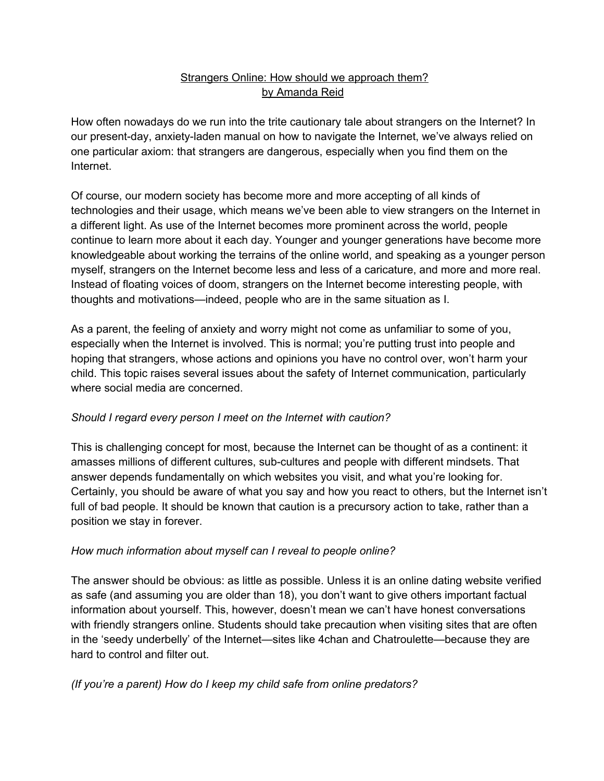## Strangers Online: How should we approach them? by Amanda Reid

How often nowadays do we run into the trite cautionary tale about strangers on the Internet? In our present-day, anxiety-laden manual on how to navigate the Internet, we've always relied on one particular axiom: that strangers are dangerous, especially when you find them on the Internet.

Of course, our modern society has become more and more accepting of all kinds of technologies and their usage, which means we've been able to view strangers on the Internet in a different light. As use of the Internet becomes more prominent across the world, people continue to learn more about it each day. Younger and younger generations have become more knowledgeable about working the terrains of the online world, and speaking as a younger person myself, strangers on the Internet become less and less of a caricature, and more and more real. Instead of floating voices of doom, strangers on the Internet become interesting people, with thoughts and motivations—indeed, people who are in the same situation as I.

As a parent, the feeling of anxiety and worry might not come as unfamiliar to some of you, especially when the Internet is involved. This is normal; you're putting trust into people and hoping that strangers, whose actions and opinions you have no control over, won't harm your child. This topic raises several issues about the safety of Internet communication, particularly where social media are concerned.

## *Should I regard every person I meet on the Internet with caution?*

This is challenging concept for most, because the Internet can be thought of as a continent: it amasses millions of different cultures, sub-cultures and people with different mindsets. That answer depends fundamentally on which websites you visit, and what you're looking for. Certainly, you should be aware of what you say and how you react to others, but the Internet isn't full of bad people. It should be known that caution is a precursory action to take, rather than a position we stay in forever.

## *How much information about myself can I reveal to people online?*

The answer should be obvious: as little as possible. Unless it is an online dating website verified as safe (and assuming you are older than 18), you don't want to give others important factual information about yourself. This, however, doesn't mean we can't have honest conversations with friendly strangers online. Students should take precaution when visiting sites that are often in the 'seedy underbelly' of the Internet—sites like 4chan and Chatroulette—because they are hard to control and filter out.

## *(If you're a parent) How do I keep my child safe from online predators?*